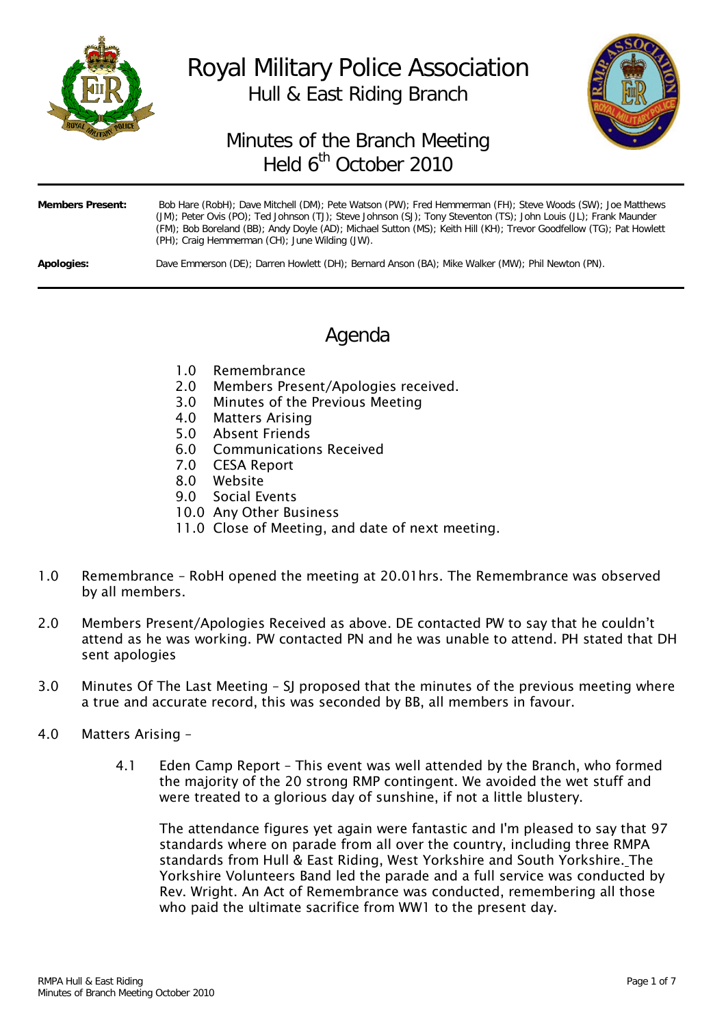

# Royal Military Police Association Hull & East Riding Branch



# Minutes of the Branch Meeting Held 6<sup>th</sup> October 2010

| <b>Members Present:</b> | Bob Hare (RobH); Dave Mitchell (DM); Pete Watson (PW); Fred Hemmerman (FH); Steve Woods (SW); Joe Matthews<br>(JM); Peter Ovis (PO); Ted Johnson (TJ); Steve Johnson (SJ); Tony Steventon (TS); John Louis (JL); Frank Maunder<br>(FM); Bob Boreland (BB); Andy Doyle (AD); Michael Sutton (MS); Keith Hill (KH); Trevor Goodfellow (TG); Pat Howlett<br>(PH); Craig Hemmerman (CH); June Wilding (JW). |
|-------------------------|---------------------------------------------------------------------------------------------------------------------------------------------------------------------------------------------------------------------------------------------------------------------------------------------------------------------------------------------------------------------------------------------------------|
| Apologies:              | Dave Emmerson (DE); Darren Howlett (DH); Bernard Anson (BA); Mike Walker (MW); Phil Newton (PN).                                                                                                                                                                                                                                                                                                        |

# Agenda

- 1.0 Remembrance
- 2.0 Members Present/Apologies received.
- 3.0 Minutes of the Previous Meeting
- 4.0 Matters Arising
- 5.0 Absent Friends
- 6.0 Communications Received
- 7.0 CESA Report
- 8.0 Website
- 9.0 Social Events
- 10.0 Any Other Business
- 11.0 Close of Meeting, and date of next meeting.
- 1.0 Remembrance RobH opened the meeting at 20.01hrs. The Remembrance was observed by all members.
- 2.0 Members Present/Apologies Received as above. DE contacted PW to say that he couldn't attend as he was working. PW contacted PN and he was unable to attend. PH stated that DH sent apologies
- 3.0 Minutes Of The Last Meeting SJ proposed that the minutes of the previous meeting where a true and accurate record, this was seconded by BB, all members in favour.
- 4.0 Matters Arising
	- 4.1 Eden Camp Report This event was well attended by the Branch, who formed the majority of the 20 strong RMP contingent. We avoided the wet stuff and were treated to a glorious day of sunshine, if not a little blustery.

The attendance figures yet again were fantastic and I'm pleased to say that 97 standards where on parade from all over the country, including three RMPA standards from Hull & East Riding, West Yorkshire and South Yorkshire. The Yorkshire Volunteers Band led the parade and a full service was conducted by Rev. Wright. An Act of Remembrance was conducted, remembering all those who paid the ultimate sacrifice from WW1 to the present day.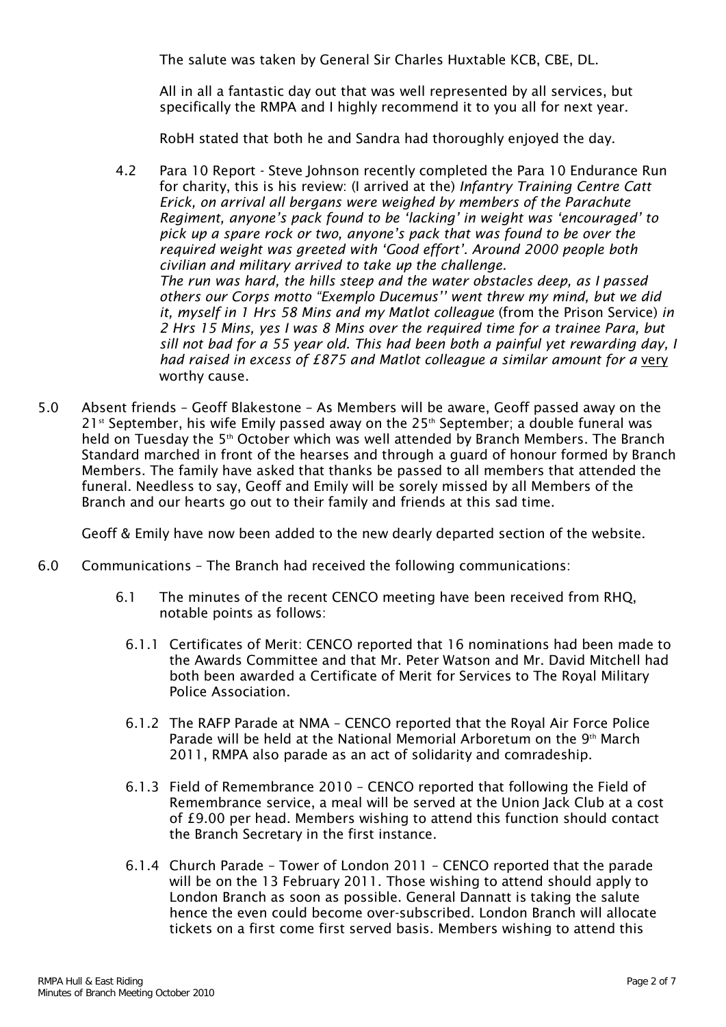The salute was taken by General Sir Charles Huxtable KCB, CBE, DL.

All in all a fantastic day out that was well represented by all services, but specifically the RMPA and I highly recommend it to you all for next year.

RobH stated that both he and Sandra had thoroughly enjoyed the day.

- 4.2 Para 10 Report Steve Johnson recently completed the Para 10 Endurance Run for charity, this is his review: (I arrived at the) *Infantry Training Centre Catt Erick, on arrival all bergans were weighed by members of the Parachute Regiment, anyone's pack found to be 'lacking' in weight was 'encouraged' to pick up a spare rock or two, anyone's pack that was found to be over the required weight was greeted with 'Good effort'. Around 2000 people both civilian and military arrived to take up the challenge. The run was hard, the hills steep and the water obstacles deep, as I passed others our Corps motto "Exemplo Ducemus'' went threw my mind, but we did it, myself in 1 Hrs 58 Mins and my Matlot colleague* (from the Prison Service) *in 2 Hrs 15 Mins, yes I was 8 Mins over the required time for a trainee Para, but sill not bad for a 55 year old. This had been both a painful yet rewarding day, I had raised in excess of £875 and Matlot colleague a similar amount for a* very worthy cause.
- 5.0 Absent friends Geoff Blakestone As Members will be aware, Geoff passed away on the  $21<sup>st</sup>$  September, his wife Emily passed away on the  $25<sup>th</sup>$  September; a double funeral was held on Tuesday the 5<sup>th</sup> October which was well attended by Branch Members. The Branch Standard marched in front of the hearses and through a guard of honour formed by Branch Members. The family have asked that thanks be passed to all members that attended the funeral. Needless to say, Geoff and Emily will be sorely missed by all Members of the Branch and our hearts go out to their family and friends at this sad time.

Geoff & Emily have now been added to the new dearly departed section of the website.

- 6.0 Communications The Branch had received the following communications:
	- 6.1 The minutes of the recent CENCO meeting have been received from RHQ, notable points as follows:
		- 6.1.1 Certificates of Merit: CENCO reported that 16 nominations had been made to the Awards Committee and that Mr. Peter Watson and Mr. David Mitchell had both been awarded a Certificate of Merit for Services to The Royal Military Police Association.
		- 6.1.2 The RAFP Parade at NMA CENCO reported that the Royal Air Force Police Parade will be held at the National Memorial Arboretum on the 9<sup>th</sup> March 2011, RMPA also parade as an act of solidarity and comradeship.
		- 6.1.3 Field of Remembrance 2010 CENCO reported that following the Field of Remembrance service, a meal will be served at the Union Jack Club at a cost of £9.00 per head. Members wishing to attend this function should contact the Branch Secretary in the first instance.
		- 6.1.4 Church Parade Tower of London 2011 CENCO reported that the parade will be on the 13 February 2011. Those wishing to attend should apply to London Branch as soon as possible. General Dannatt is taking the salute hence the even could become over-subscribed. London Branch will allocate tickets on a first come first served basis. Members wishing to attend this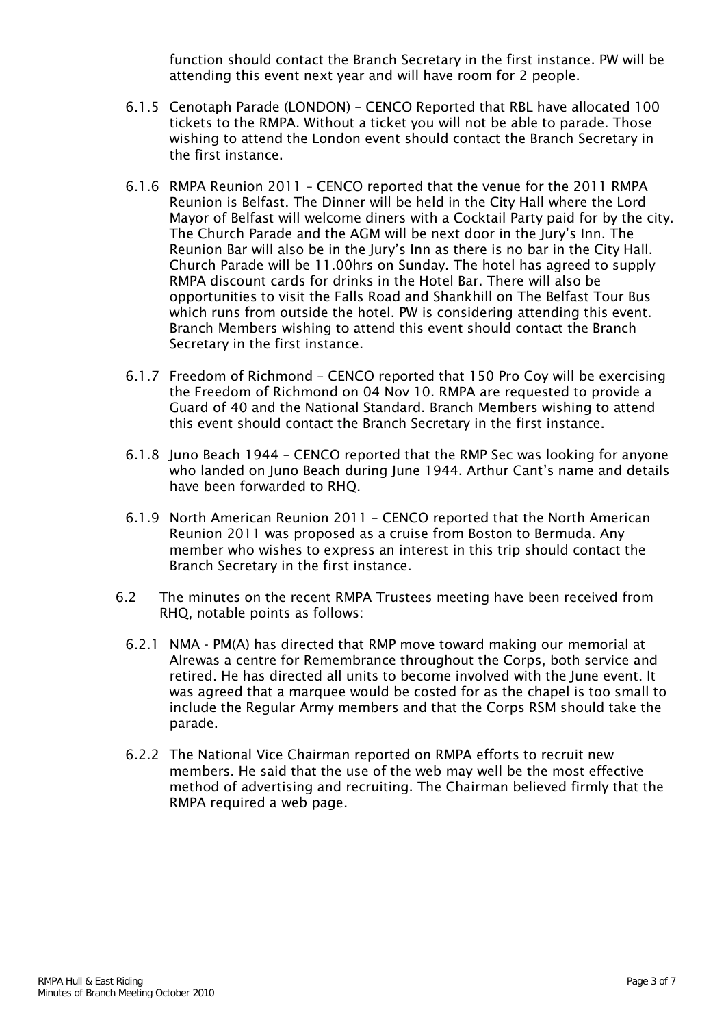function should contact the Branch Secretary in the first instance. PW will be attending this event next year and will have room for 2 people.

- 6.1.5 Cenotaph Parade (LONDON) CENCO Reported that RBL have allocated 100 tickets to the RMPA. Without a ticket you will not be able to parade. Those wishing to attend the London event should contact the Branch Secretary in the first instance.
- 6.1.6 RMPA Reunion 2011 CENCO reported that the venue for the 2011 RMPA Reunion is Belfast. The Dinner will be held in the City Hall where the Lord Mayor of Belfast will welcome diners with a Cocktail Party paid for by the city. The Church Parade and the AGM will be next door in the Jury's Inn. The Reunion Bar will also be in the Jury's Inn as there is no bar in the City Hall. Church Parade will be 11.00hrs on Sunday. The hotel has agreed to supply RMPA discount cards for drinks in the Hotel Bar. There will also be opportunities to visit the Falls Road and Shankhill on The Belfast Tour Bus which runs from outside the hotel. PW is considering attending this event. Branch Members wishing to attend this event should contact the Branch Secretary in the first instance.
- 6.1.7 Freedom of Richmond CENCO reported that 150 Pro Coy will be exercising the Freedom of Richmond on 04 Nov 10. RMPA are requested to provide a Guard of 40 and the National Standard. Branch Members wishing to attend this event should contact the Branch Secretary in the first instance.
- 6.1.8 Juno Beach 1944 CENCO reported that the RMP Sec was looking for anyone who landed on Juno Beach during June 1944. Arthur Cant's name and details have been forwarded to RHQ.
- 6.1.9 North American Reunion 2011 CENCO reported that the North American Reunion 2011 was proposed as a cruise from Boston to Bermuda. Any member who wishes to express an interest in this trip should contact the Branch Secretary in the first instance.
- 6.2 The minutes on the recent RMPA Trustees meeting have been received from RHQ, notable points as follows:
	- 6.2.1 NMA PM(A) has directed that RMP move toward making our memorial at Alrewas a centre for Remembrance throughout the Corps, both service and retired. He has directed all units to become involved with the June event. It was agreed that a marquee would be costed for as the chapel is too small to include the Regular Army members and that the Corps RSM should take the parade.
	- 6.2.2 The National Vice Chairman reported on RMPA efforts to recruit new members. He said that the use of the web may well be the most effective method of advertising and recruiting. The Chairman believed firmly that the RMPA required a web page.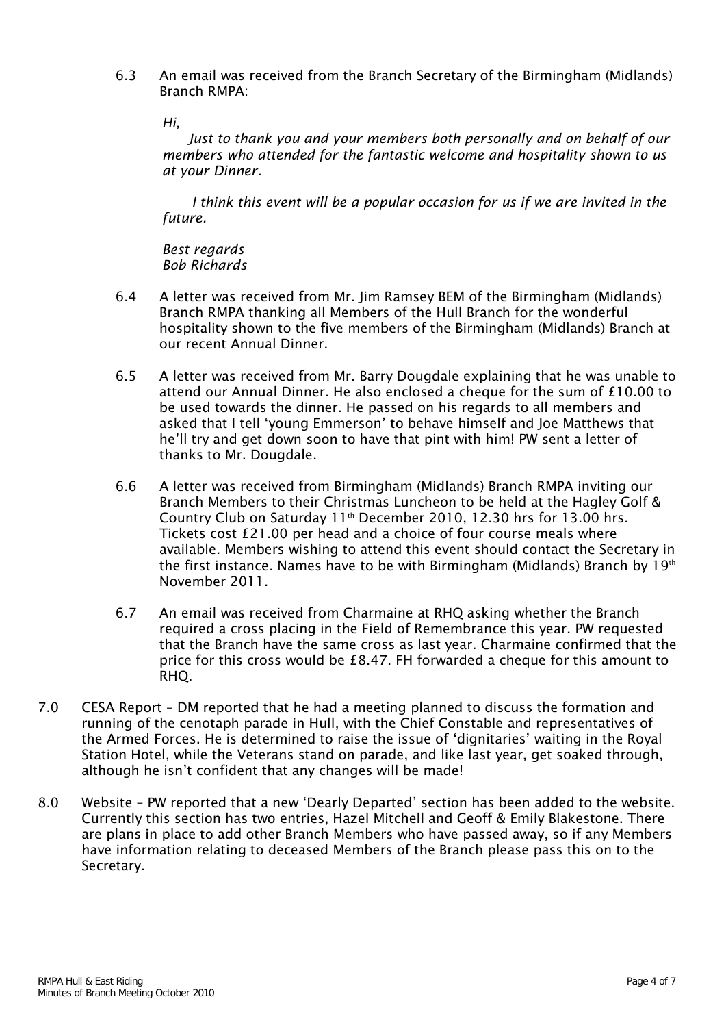6.3 An email was received from the Branch Secretary of the Birmingham (Midlands) Branch RMPA:

*Hi,*

 *Just to thank you and your members both personally and on behalf of our members who attended for the fantastic welcome and hospitality shown to us at your Dinner.*

 *I think this event will be a popular occasion for us if we are invited in the future.*

*Best regards Bob Richards*

- 6.4 A letter was received from Mr. Jim Ramsey BEM of the Birmingham (Midlands) Branch RMPA thanking all Members of the Hull Branch for the wonderful hospitality shown to the five members of the Birmingham (Midlands) Branch at our recent Annual Dinner.
- 6.5 A letter was received from Mr. Barry Dougdale explaining that he was unable to attend our Annual Dinner. He also enclosed a cheque for the sum of £10.00 to be used towards the dinner. He passed on his regards to all members and asked that I tell 'young Emmerson' to behave himself and Joe Matthews that he'll try and get down soon to have that pint with him! PW sent a letter of thanks to Mr. Dougdale.
- 6.6 A letter was received from Birmingham (Midlands) Branch RMPA inviting our Branch Members to their Christmas Luncheon to be held at the Hagley Golf & Country Club on Saturday 11<sup>th</sup> December 2010, 12.30 hrs for 13.00 hrs. Tickets cost £21.00 per head and a choice of four course meals where available. Members wishing to attend this event should contact the Secretary in the first instance. Names have to be with Birmingham (Midlands) Branch by 19<sup>th</sup> November 2011.
- 6.7 An email was received from Charmaine at RHQ asking whether the Branch required a cross placing in the Field of Remembrance this year. PW requested that the Branch have the same cross as last year. Charmaine confirmed that the price for this cross would be £8.47. FH forwarded a cheque for this amount to RHQ.
- 7.0 CESA Report DM reported that he had a meeting planned to discuss the formation and running of the cenotaph parade in Hull, with the Chief Constable and representatives of the Armed Forces. He is determined to raise the issue of 'dignitaries' waiting in the Royal Station Hotel, while the Veterans stand on parade, and like last year, get soaked through, although he isn't confident that any changes will be made!
- 8.0 Website PW reported that a new 'Dearly Departed' section has been added to the website. Currently this section has two entries, Hazel Mitchell and Geoff & Emily Blakestone. There are plans in place to add other Branch Members who have passed away, so if any Members have information relating to deceased Members of the Branch please pass this on to the Secretary.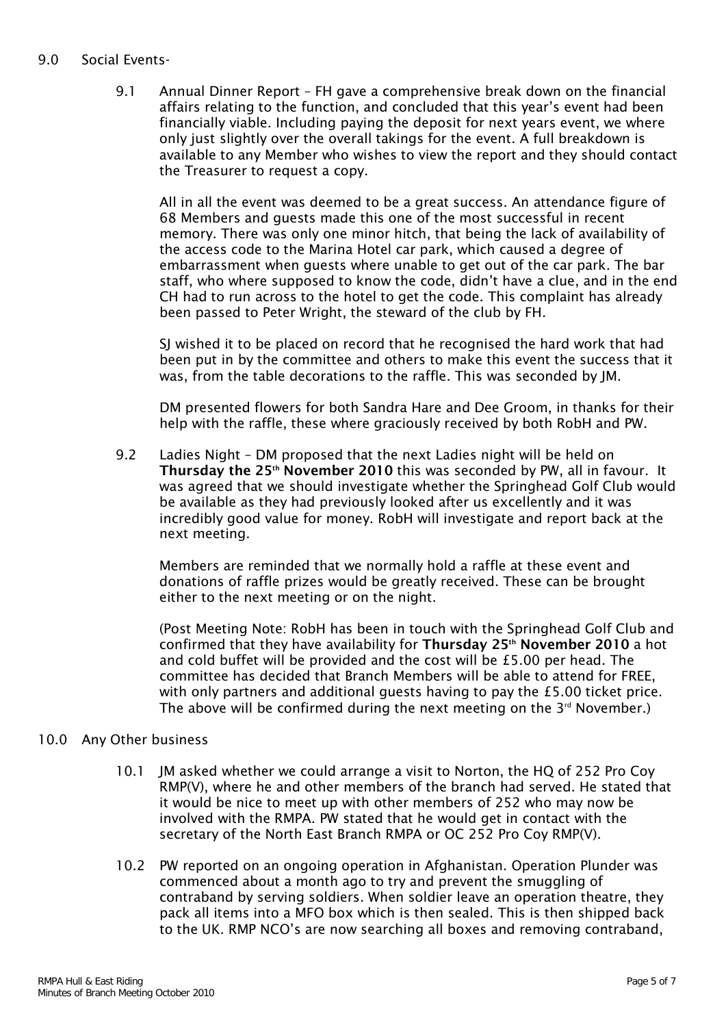### 9.0 Social Events-

9.1 Annual Dinner Report – FH gave a comprehensive break down on the financial affairs relating to the function, and concluded that this year's event had been financially viable. Including paying the deposit for next years event, we where only just slightly over the overall takings for the event. A full breakdown is available to any Member who wishes to view the report and they should contact the Treasurer to request a copy.

All in all the event was deemed to be a great success. An attendance figure of 68 Members and guests made this one of the most successful in recent memory. There was only one minor hitch, that being the lack of availability of the access code to the Marina Hotel car park, which caused a degree of embarrassment when guests where unable to get out of the car park. The bar staff, who where supposed to know the code, didn't have a clue, and in the end CH had to run across to the hotel to get the code. This complaint has already been passed to Peter Wright, the steward of the club by FH.

SJ wished it to be placed on record that he recognised the hard work that had been put in by the committee and others to make this event the success that it was, from the table decorations to the raffle. This was seconded by JM.

DM presented flowers for both Sandra Hare and Dee Groom, in thanks for their help with the raffle, these where graciously received by both RobH and PW.

9.2 Ladies Night – DM proposed that the next Ladies night will be held on Thursday the 25<sup>th</sup> November 2010 this was seconded by PW, all in favour. It was agreed that we should investigate whether the Springhead Golf Club would be available as they had previously looked after us excellently and it was incredibly good value for money. RobH will investigate and report back at the next meeting.

Members are reminded that we normally hold a raffle at these event and donations of raffle prizes would be greatly received. These can be brought either to the next meeting or on the night.

(Post Meeting Note: RobH has been in touch with the Springhead Golf Club and confirmed that they have availability for Thursday 25<sup>th</sup> November 2010 a hot and cold buffet will be provided and the cost will be £5.00 per head. The committee has decided that Branch Members will be able to attend for FREE, with only partners and additional guests having to pay the £5.00 ticket price. The above will be confirmed during the next meeting on the  $3<sup>rd</sup>$  November.)

#### 10.0 Any Other business

- 10.1 JM asked whether we could arrange a visit to Norton, the HQ of 252 Pro Coy RMP(V), where he and other members of the branch had served. He stated that it would be nice to meet up with other members of 252 who may now be involved with the RMPA. PW stated that he would get in contact with the secretary of the North East Branch RMPA or OC 252 Pro Coy RMP(V).
- 10.2 PW reported on an ongoing operation in Afghanistan. Operation Plunder was commenced about a month ago to try and prevent the smuggling of contraband by serving soldiers. When soldier leave an operation theatre, they pack all items into a MFO box which is then sealed. This is then shipped back to the UK. RMP NCO's are now searching all boxes and removing contraband,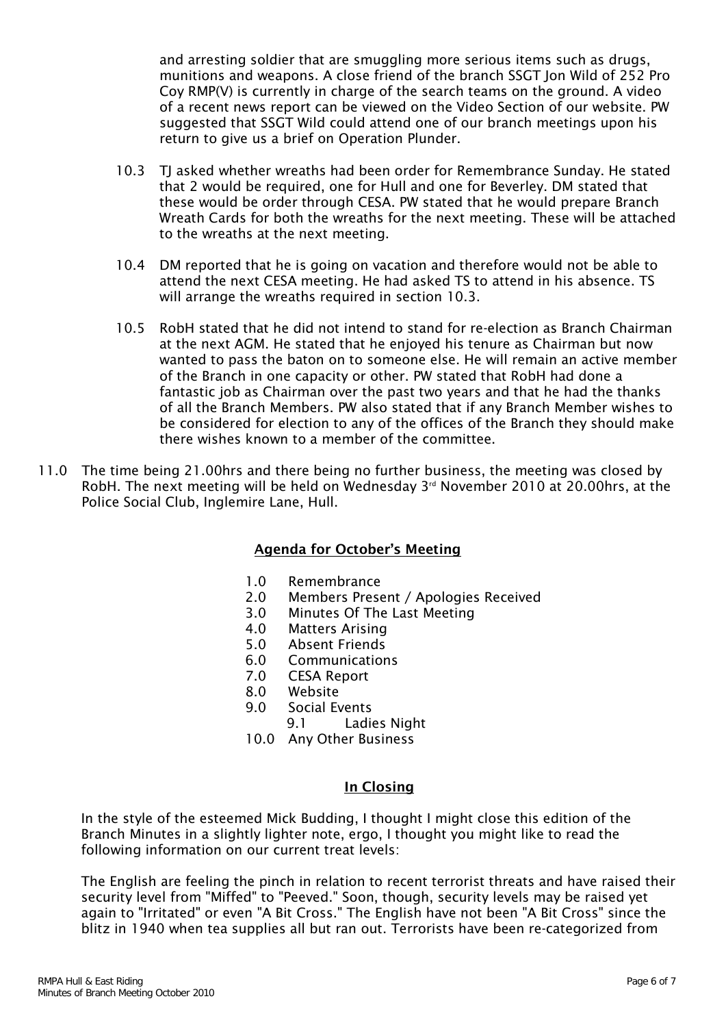and arresting soldier that are smuggling more serious items such as drugs, munitions and weapons. A close friend of the branch SSGT Jon Wild of 252 Pro Coy RMP(V) is currently in charge of the search teams on the ground. A video of a recent news report can be viewed on the Video Section of our website. PW suggested that SSGT Wild could attend one of our branch meetings upon his return to give us a brief on Operation Plunder.

- 10.3 TJ asked whether wreaths had been order for Remembrance Sunday. He stated that 2 would be required, one for Hull and one for Beverley. DM stated that these would be order through CESA. PW stated that he would prepare Branch Wreath Cards for both the wreaths for the next meeting. These will be attached to the wreaths at the next meeting.
- 10.4 DM reported that he is going on vacation and therefore would not be able to attend the next CESA meeting. He had asked TS to attend in his absence. TS will arrange the wreaths required in section 10.3.
- 10.5 RobH stated that he did not intend to stand for re-election as Branch Chairman at the next AGM. He stated that he enjoyed his tenure as Chairman but now wanted to pass the baton on to someone else. He will remain an active member of the Branch in one capacity or other. PW stated that RobH had done a fantastic job as Chairman over the past two years and that he had the thanks of all the Branch Members. PW also stated that if any Branch Member wishes to be considered for election to any of the offices of the Branch they should make there wishes known to a member of the committee.
- 11.0 The time being 21.00hrs and there being no further business, the meeting was closed by RobH. The next meeting will be held on Wednesday  $3<sup>rd</sup>$  November 2010 at 20.00hrs, at the Police Social Club, Inglemire Lane, Hull.

### Agenda for October's Meeting

- 1.0 Remembrance
- 2.0 Members Present / Apologies Received
- 3.0 Minutes Of The Last Meeting
- 4.0 Matters Arising
- 5.0 Absent Friends
- **Communications**
- 7.0 CESA Report
- 8.0 Website
- 9.0 Social Events
	- 9.1 Ladies Night
- 10.0 Any Other Business

#### In Closing

In the style of the esteemed Mick Budding, I thought I might close this edition of the Branch Minutes in a slightly lighter note, ergo, I thought you might like to read the following information on our current treat levels:

The English are feeling the pinch in relation to recent terrorist threats and have raised their security level from "Miffed" to "Peeved." Soon, though, security levels may be raised yet again to "Irritated" or even "A Bit Cross." The English have not been "A Bit Cross" since the blitz in 1940 when tea supplies all but ran out. Terrorists have been re-categorized from